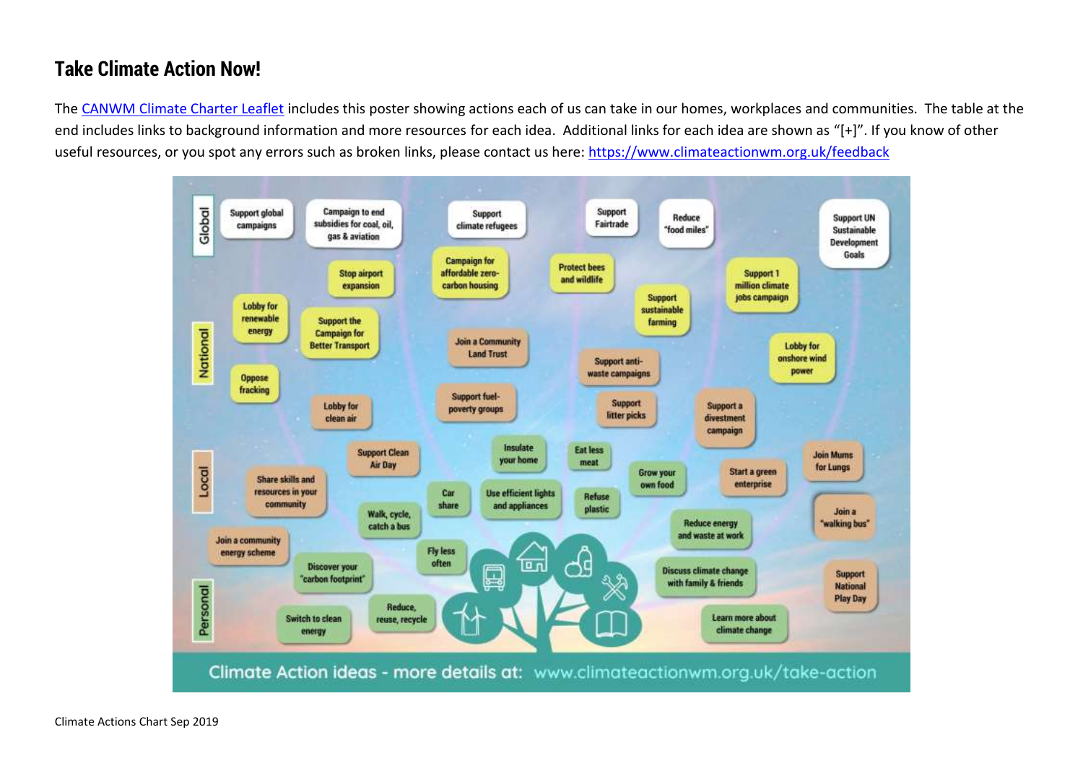## **Take Climate Action Now!**

The [CANWM Climate Charter Leaflet](https://www.climateactionwm.org.uk/climate-charter) includes this poster showing actions each of us can take in our homes, workplaces and communities. The table at the end includes links to background information and more resources for each idea. Additional links for each idea are shown as "[+]". If you know of other useful resources, or you spot any errors such as broken links, please contact us here:<https://www.climateactionwm.org.uk/feedback>